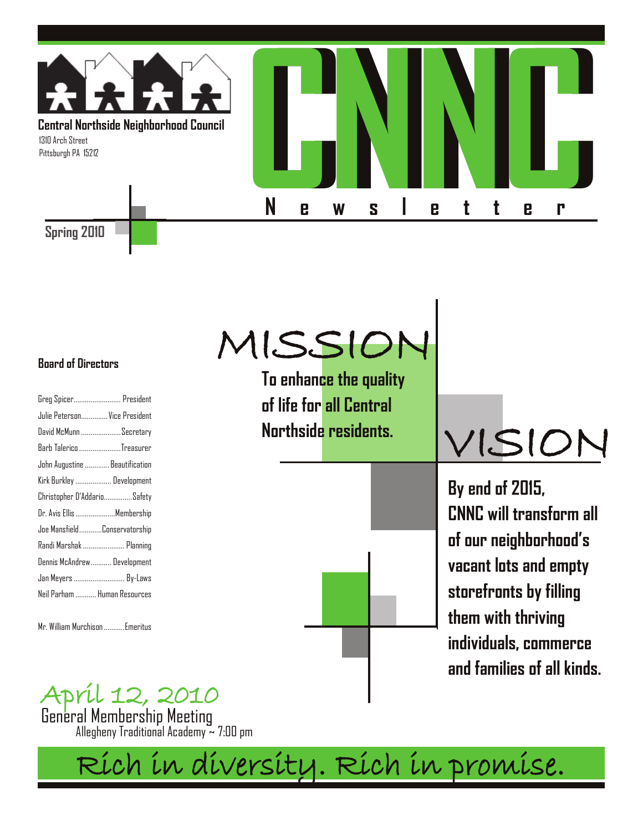

MISSION

#### **Board of Directors**

| Greg Spicer President          |  |
|--------------------------------|--|
| Julie Peterson Vice President  |  |
| David McMunn Secretary         |  |
| Barb Talerico Treasurer        |  |
| John Augustine  Beautification |  |
| Kirk Burkley  Development      |  |
| Christopher D'AddarioSafety    |  |
| Dr. Avis Ellis Membership      |  |
| Joe MansfieldConservatorship   |  |
| Randi Marshak  Planning        |  |
| Dennis McAndrew Development    |  |
| Jan Meyers  By-Laws            |  |
| Neil Parham  Human Resources   |  |
|                                |  |

Mr. William Murchison...........Emeritus

**To enhance the quality of life for all Central Northside residents.**



VISION

**By end of 2015, CNNC will transform all of our neighborhood's vacant lots and empty storefronts by filling them with thriving individuals, commerce and families of all kinds.**

April 12, 2010

General Membership Meeting Allegheny Traditional Academy ~ 7:00 pm

Rich in diversity. Rich in promise.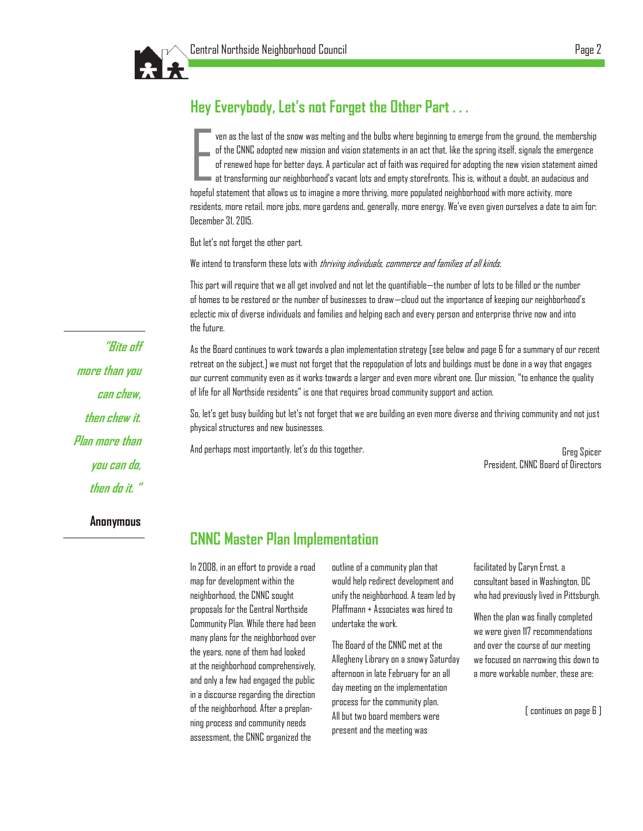# **Hey Everybody, Let's not Forget the Other Part . . .**

E ven as the last of the snow was melting and the bulbs where beginning to emerge from the ground, the membership of the CNNC adopted new mission and vision statements in an act that, like the spring itself, signals the emergence of renewed hope for better days. A particular act of faith was required for adopting the new vision statement aimed  $\,$  at transforming our neighborhood's vacant lots and empty storefronts. This is, without a doubt, an audacious and hopeful statement that allows us to imagine a more thriving, more populated neighborhood with more activity, more residents, more retail, more jobs, more gardens and, generally, more energy. We"ve even given ourselves a date to aim for: December 31, 2015.

But let"s not forget the other part.

We intend to transform these lots with *thriving individuals, commerce and families of all kinds.* 

This part will require that we all get involved and not let the quantifiable—the number of lots to be filled or the number of homes to be restored or the number of businesses to draw—cloud out the importance of keeping our neighborhood"s eclectic mix of diverse individuals and families and helping each and every person and enterprise thrive now and into the future.

As the Board continues to work towards a plan implementation strategy [see below and page 6 for a summary of our recent retreat on the subject,] we must not forget that the repopulation of lots and buildings must be done in a way that engages our current community even as it works towards a larger and even more vibrant one. Our mission, "to enhance the quality of life for all Northside residents" is one that requires broad community support and action.

So, let"s get busy building but let"s not forget that we are building an even more diverse and thriving community and not just physical structures and new businesses.

And perhaps most importantly, let"s do this together.

Greg Spicer President, CNNC Board of Directors

### **CNNC Master Plan Implementation**

In 2008, in an effort to provide a road map for development within the neighborhood, the CNNC sought proposals for the Central Northside Community Plan. While there had been many plans for the neighborhood over the years, none of them had looked at the neighborhood comprehensively, and only a few had engaged the public in a discourse regarding the direction of the neighborhood. After a preplanning process and community needs assessment, the CNNC organized the

outline of a community plan that would help redirect development and unify the neighborhood. A team led by Pfaffmann + Associates was hired to undertake the work.

The Board of the CNNC met at the Allegheny Library on a snowy Saturday afternoon in late February for an all day meeting on the implementation process for the community plan. All but two board members were present and the meeting was

facilitated by Caryn Ernst, a consultant based in Washington, DC who had previously lived in Pittsburgh.

When the plan was finally completed we were given 117 recommendations and over the course of our meeting we focused on narrowing this down to a more workable number, these are:

[ continues on page 6 ]

**"Bite off more than you can chew, then chew it. Plan more than you can do, then do it. "** 

**Anonymous**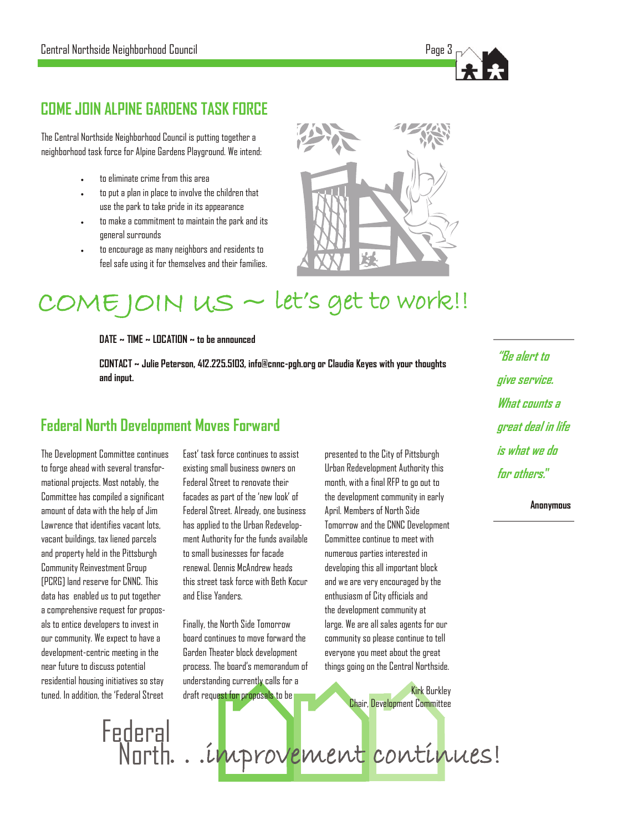# **COME JOIN ALPINE GARDENS TASK FORCE**

The Central Northside Neighborhood Council is putting together a neighborhood task force for Alpine Gardens Playground. We intend:

- to eliminate crime from this area
- to put a plan in place to involve the children that use the park to take pride in its appearance
- to make a commitment to maintain the park and its general surrounds
- to encourage as many neighbors and residents to feel safe using it for themselves and their families.



#### COME JOIN US ~ let's get to work!!

**DATE ~ TIME ~ LOCATION ~ to be announced**

**CONTACT ~ Julie Peterson, 412.225.5103, info@cnnc-pgh.org or Claudia Keyes with your thoughts and input.**

### **Federal North Development Moves Forward**

The Development Committee continues to forge ahead with several transformational projects. Most notably, the Committee has compiled a significant amount of data with the help of Jim Lawrence that identifies vacant lots, vacant buildings, tax liened parcels and property held in the Pittsburgh Community Reinvestment Group [PCRG] land reserve for CNNC. This data has enabled us to put together a comprehensive request for proposals to entice developers to invest in our community. We expect to have a development-centric meeting in the near future to discuss potential residential housing initiatives so stay tuned. In addition, the "Federal Street

East" task force continues to assist existing small business owners on Federal Street to renovate their facades as part of the "new look" of Federal Street. Already, one business has applied to the Urban Redevelopment Authority for the funds available to small businesses for facade renewal. Dennis McAndrew heads this street task force with Beth Kocur and Elise Yanders.

Finally, the North Side Tomorrow board continues to move forward the Garden Theater block development process. The board"s memorandum of understanding currently calls for a draft request for proposals to be

presented to the City of Pittsburgh Urban Redevelopment Authority this month, with a final RFP to go out to the development community in early April. Members of North Side Tomorrow and the CNNC Development Committee continue to meet with numerous parties interested in developing this all important block and we are very encouraged by the enthusiasm of City officials and the development community at large. We are all sales agents for our community so please continue to tell everyone you meet about the great things going on the Central Northside.

> Kirk Burkley Chair, Development Committee

Federal<br>North ... improvement continues!

**"Be alert to give service. What counts a great deal in life is what we do for others."**

**Anonymous**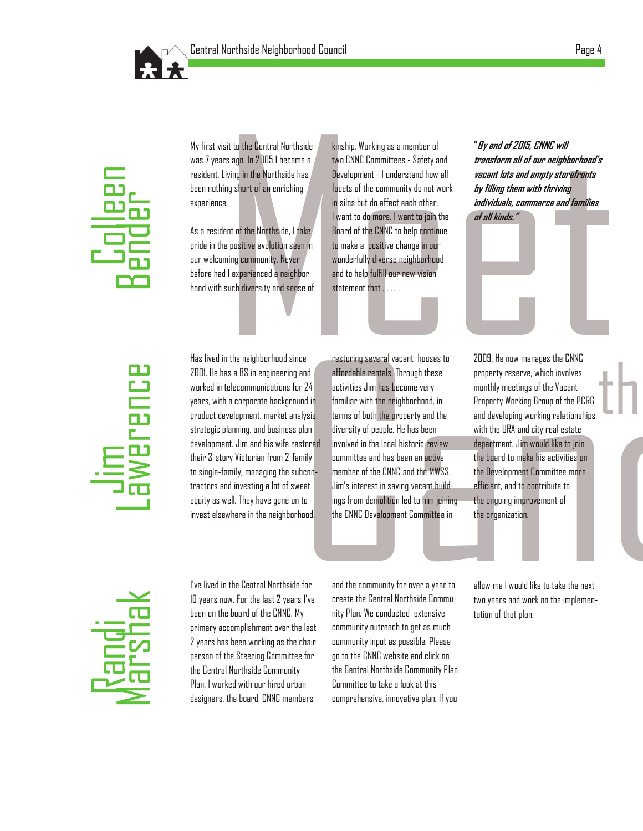



My first visit to the Central Northside was 7 years ago. In 2005 I became a resident. Living in the Northside has been nothing short of an enriching experience.

As a resident of the Northside, I take pride in the positive evolution seen in our welcoming community. Never before had I experienced a neighborhood with such diversity and sense of

sit to the Central Northside Kinship. Working as a member of "*By end of 2015, CNNC will*<br>
stage. In 2005 I became a two CNNC Committees - Safety and *transform all of our neighborhood's*<br>
iving in the Northside has<br>
Devel kinship. Working as a member of two CNNC Committees - Safety and Development - I understand how all facets of the community do not work in silos but do affect each other. I want to do more. I want to join the Board of the CNNC to help continue to make a positive change in our wonderfully diverse neighborhood and to help fulfill our new vision statement that . . . . .

**"By end of 2015, CNNC will transform all of our neighborhood's vacant lots and empty storefronts by filling them with thriving individuals, commerce and families of all kinds."**



Has lived in the neighborhood since 2001. He has a BS in engineering and worked in telecommunications for 24 years, with a corporate background in product development, market analysis, strategic planning, and business plan development. Jim and his wife restored their 3-story Victorian from 2-family to single-family, managing the subcontractors and investing a lot of sweat equity as well. They have gone on to invest elsewhere in the neighborhood,

restoring several vacant houses to affordable rentals. Through these activities Jim has become very familiar with the neighborhood, in terms of both the property and the diversity of people. He has been involved in the local historic review committee and has been an active member of the CNNC and the MWSS. Jim"s interest in saving vacant buildings from demolition led to him joining the CNNC Development Committee in

ce containing several vacant houses to 2009. He now manages the CNNC<br>
and effordable rentals. Through these property reserve, which involves<br>
activities Jim has become very monthly meetings of the Vacant<br>
familiar with the 2009. He now manages the CNNC property reserve, which involves monthly meetings of the Vacant Property Working Group of the PCRG and developing working relationships with the URA and city real estate department. Jim would like to join the board to make his activities on the Development Committee more efficient, and to contribute to the ongoing improvement of the organization.

the



I've lived in the Central Northside for 10 years now. For the last 2 years I've been on the board of the CNNC. My primary accomplishment over the last 2 years has been working as the chair person of the Steering Committee for the Central Northside Community Plan. I worked with our hired urban designers, the board, CNNC members

and the community for over a year to create the Central Northside Community Plan. We conducted extensive community outreach to get as much community input as possible. Please go to the CNNC website and click on the Central Northside Community Plan Committee to take a look at this comprehensive, innovative plan. If you

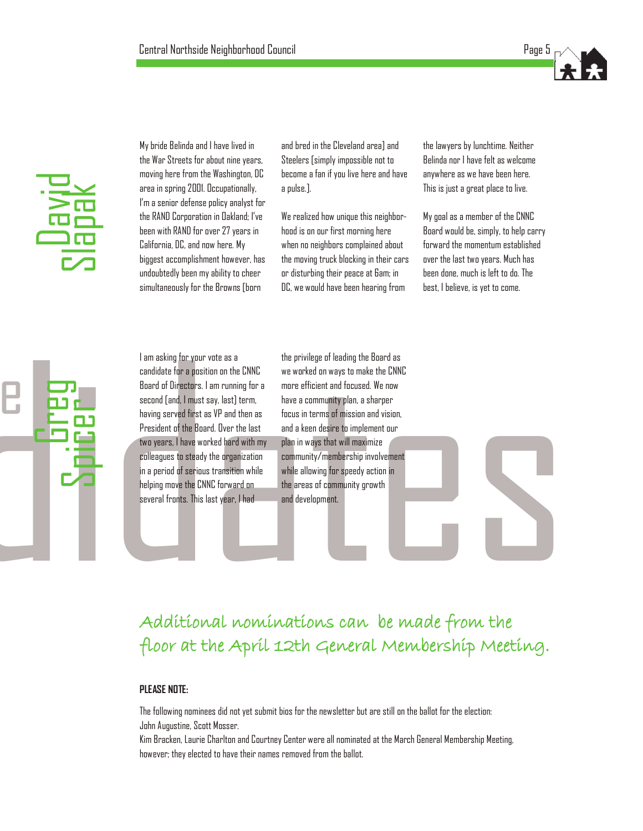

My bride Belinda and I have lived in the War Streets for about nine years, moving here from the Washington, DC area in spring 2001. Occupationally, I"m a senior defense policy analyst for the RAND Corporation in Oakland; I"ve been with RAND for over 27 years in California, DC, and now here. My biggest accomplishment however, has undoubtedly been my ability to cheer simultaneously for the Browns [born

and bred in the Cleveland area] and Steelers [simply impossible not to become a fan if you live here and have a pulse.].

We realized how unique this neighborhood is on our first morning here when no neighbors complained about the moving truck blocking in their cars or disturbing their peace at 6am; in DC, we would have been hearing from

the lawyers by lunchtime. Neither Belinda nor I have felt as welcome anywhere as we have been here. This is just a great place to live.

My goal as a member of the CNNC Board would be, simply, to help carry forward the momentum established over the last two years. Much has been done, much is left to do. The best, I believe, is yet to come.

a condidate for a position on the CNNC we worked on ways to make the CNNC<br>
Scored of Directors: I am running for a more efficient and forcused. We now<br>
second (and, finds its ay), let let the Score in terms of mission and I am asking for your vote as a candidate for a position on the CNNC Board of Directors. I am running for a second [and, I must say, last] term, having served first as VP and then as President of the Board. Over the last two years, I have worked hard with my colleagues to steady the organization in a period of serious transition while helping move the CNNC forward on several fronts. This last year, I had Figure 2.1 The April 12th General Membership Membership Membership Membership Membership Membership Membership Membership Membership Membership Membership Membership Membership Membership Membership Membership Membership

the privilege of leading the Board as we worked on ways to make the CNNC more efficient and focused. We now have a community plan, a sharper focus in terms of mission and vision, and a keen desire to implement our plan in ways that will maximize community/membership involvement while allowing for speedy action in the areas of community growth and development.

# Additional nominations can be made from the

#### **PLEASE NOTE:**

The following nominees did not yet submit bios for the newsletter but are still on the ballot for the election: John Augustine, Scott Mosser.

Kim Bracken, Laurie Charlton and Courtney Center were all nominated at the March General Membership Meeting, however; they elected to have their names removed from the ballot.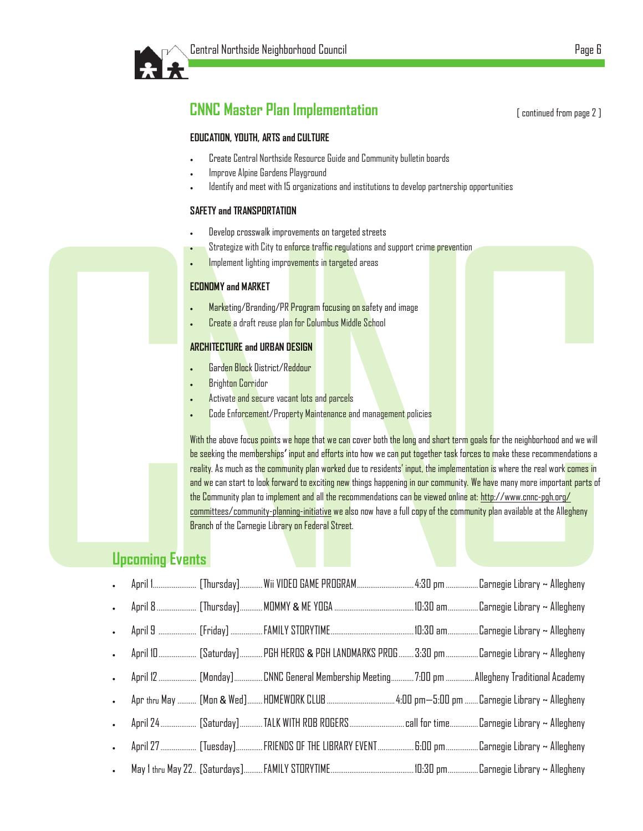

# **CNNC Master Plan Implementation**

#### **EDUCATION, YOUTH, ARTS and CULTURE**

- Create Central Northside Resource Guide and Community bulletin boards
- Improve Alpine Gardens Playground
- Identify and meet with 15 organizations and institutions to develop partnership opportunities

#### **SAFETY and TRANSPORTATION**

- Develop crosswalk improvements on targeted streets
- Strategize with City to enforce traffic regulations and support crime prevention
- Implement lighting improvements in targeted areas

#### **ECONOMY and MARKET**

- Marketing/Branding/PR Program focusing on safety and image
- Create a draft reuse plan for Columbus Middle School

#### **ARCHITECTURE and URBAN DESIGN**

- Garden Block District/Reddour
- Brighton Corridor
- Activate and secure vacant lots and parcels
- Code Enforcement/Property Maintenance and management policies

Contract and intended intended into the Contract Changes (The Contract Changes (The Contract Changes and the Control of the Contract Changes (The Contract Changes and the Contract Changes (The Contract Changes and the Cont ments on targeted streets<br>ree traffic regulations and support crime prevention<br>ments in targeted areas<br>agram focusing on safety and image<br>or Columbus Middle School<br>SIGN<br>IGN<br>lour<br>lost and parcels<br>y Maintenance and managemen or term goals for the neighborhood and we will<br>task forces to make these recommendations a<br>mplementation is where the real work comes in<br>mmunity. We have many more important parts of<br>ed online at: http://www.come-pgh.org/<br> With the above focus points we hope that we can cover both the long and short term goals for the neighborhood and we will <mark>be see</mark>king the mem<mark>berships' input and efforts in</mark>to how we ca<mark>n put together task forces to m</mark>ake these recommendations a reality. As much as the community plan worked due to residents' input, the implementation is where the real work comes in and we can start to look forward to exciting new things happening in our community. We have many more important parts of the Community plan to implement and all the recommendations can be viewed online at: http://www.cnnc -pgh.org/ committees/community-planning-initiative we also now have a full copy of the community plan available at the Allegheny Branch of the Carnegie Library on Federal Street.

# **Upcoming Events**

| Develop crosswalk improvements on targeted streets                                                                                                                                                                                                                                                                                                                                                                                                                                                                                                                                                                                                                                                                                                                                                          |
|-------------------------------------------------------------------------------------------------------------------------------------------------------------------------------------------------------------------------------------------------------------------------------------------------------------------------------------------------------------------------------------------------------------------------------------------------------------------------------------------------------------------------------------------------------------------------------------------------------------------------------------------------------------------------------------------------------------------------------------------------------------------------------------------------------------|
| Strategize with City to enforce traffic regulations and support crime prevention                                                                                                                                                                                                                                                                                                                                                                                                                                                                                                                                                                                                                                                                                                                            |
| Implement lighting improvements in targeted areas                                                                                                                                                                                                                                                                                                                                                                                                                                                                                                                                                                                                                                                                                                                                                           |
| <b>ECONOMY and MARKET</b>                                                                                                                                                                                                                                                                                                                                                                                                                                                                                                                                                                                                                                                                                                                                                                                   |
| Marketing/Branding/PR Program focusing on safety and image                                                                                                                                                                                                                                                                                                                                                                                                                                                                                                                                                                                                                                                                                                                                                  |
| Create a draft reuse plan for Columbus Middle School                                                                                                                                                                                                                                                                                                                                                                                                                                                                                                                                                                                                                                                                                                                                                        |
| <b>ARCHITECTURE and URBAN DESIGN</b>                                                                                                                                                                                                                                                                                                                                                                                                                                                                                                                                                                                                                                                                                                                                                                        |
| Garden Block District/Reddour                                                                                                                                                                                                                                                                                                                                                                                                                                                                                                                                                                                                                                                                                                                                                                               |
| <b>Brighton Corridor</b>                                                                                                                                                                                                                                                                                                                                                                                                                                                                                                                                                                                                                                                                                                                                                                                    |
| Activate and secure vacant lots and parcels                                                                                                                                                                                                                                                                                                                                                                                                                                                                                                                                                                                                                                                                                                                                                                 |
| Code Enforcement/Property Maintenance and management policies                                                                                                                                                                                                                                                                                                                                                                                                                                                                                                                                                                                                                                                                                                                                               |
| With the above focus points we hope that we can cover both the long and short term goals for the neighborhood and we<br>be seeking the memberships' input and efforts into how we can put together task forces to make these recommendation<br>reality. As much as the community plan worked due to residents' input, the implementation is where the real work comes<br>and we can start to look forward to exciting new things happening in our community. We have many more importa <mark>nt part</mark><br>the Community plan to implement and all the recommendations can be viewed online at: http://www.cnnc-pgh.org/<br>committees/community-planning-initiative we also now have a full copy of the community plan available at the Allegheny<br>Branch of the Carnegie Library on Federal Street. |
|                                                                                                                                                                                                                                                                                                                                                                                                                                                                                                                                                                                                                                                                                                                                                                                                             |
| <b>Upcoming Events</b>                                                                                                                                                                                                                                                                                                                                                                                                                                                                                                                                                                                                                                                                                                                                                                                      |
|                                                                                                                                                                                                                                                                                                                                                                                                                                                                                                                                                                                                                                                                                                                                                                                                             |
| April 1 [Thursday]Wii VIDEO GAME PROGRAM 4:30 pm  Carnegie Library ~ Allegheny                                                                                                                                                                                                                                                                                                                                                                                                                                                                                                                                                                                                                                                                                                                              |
|                                                                                                                                                                                                                                                                                                                                                                                                                                                                                                                                                                                                                                                                                                                                                                                                             |
|                                                                                                                                                                                                                                                                                                                                                                                                                                                                                                                                                                                                                                                                                                                                                                                                             |
| April 10 [Saturday]PGH HEROS & PGH LANDMARKS PROG 3:30 pm Carnegie Library ~ Allegheny                                                                                                                                                                                                                                                                                                                                                                                                                                                                                                                                                                                                                                                                                                                      |
| April 12  [Monday] CNNC General Membership Meeting  7:00 pm  Allegheny Traditional Academy                                                                                                                                                                                                                                                                                                                                                                                                                                                                                                                                                                                                                                                                                                                  |
| Apr thru May ………. [Mon & Wed]……HOMEWORK CLUB ………………………………4:00 pm—5:00 pm ……. Carnegie Library ~ Allegheny                                                                                                                                                                                                                                                                                                                                                                                                                                                                                                                                                                                                                                                                                                   |
| April 24  [Saturday]TALK WITH ROB ROGERS call for time Carnegie Library ~ Allegheny                                                                                                                                                                                                                                                                                                                                                                                                                                                                                                                                                                                                                                                                                                                         |
| April 27 ………………… [Tuesday]……………FRIENDS OF THE LIBRARY EVENT…………………… 6:00 pm………………Carnegie Library ~ Allegheny                                                                                                                                                                                                                                                                                                                                                                                                                                                                                                                                                                                                                                                                                               |
|                                                                                                                                                                                                                                                                                                                                                                                                                                                                                                                                                                                                                                                                                                                                                                                                             |

[ continued from page 2 ]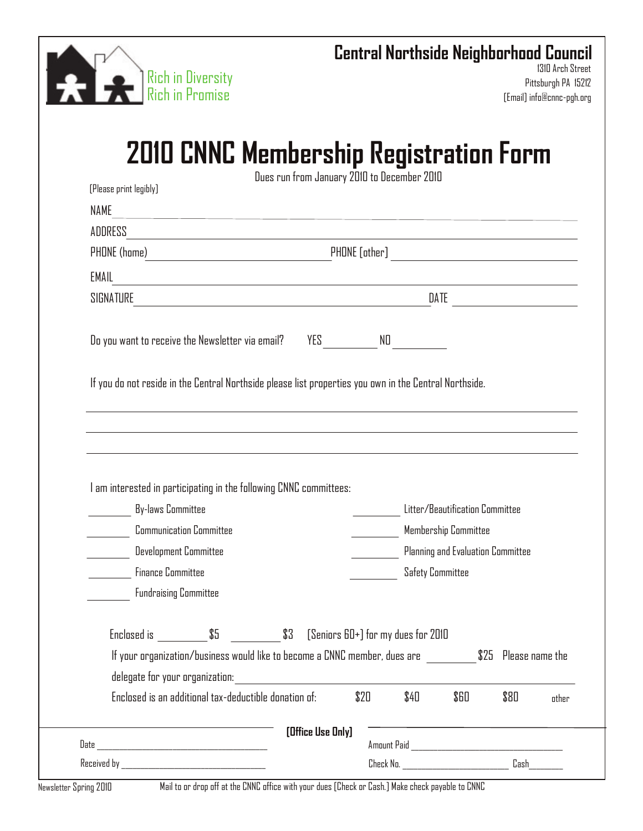

# **Central Northside Neighborhood Council**

1310 Arch Street Pittsburgh PA 15212 [Email] info@cnnc-pgh.org

# **2010 CNNC Membership Registration Form**

| [Please print legibly]                                                                                                           | Dues run from January 2010 to December 2010 |  |  |
|----------------------------------------------------------------------------------------------------------------------------------|---------------------------------------------|--|--|
| NAME<br><u> 1989 - Johann Stoff, amerikansk politiker (d. 1989)</u>                                                              |                                             |  |  |
| ADDRESS<br><u> 1980 - Johann Barbara, martin da basar a shekara 1980 - An tsara 1980 - An tsara 1980 - An tsara 1980 - An ts</u> |                                             |  |  |
|                                                                                                                                  |                                             |  |  |
| EMAIL<br><u> 1989 - Johann Stoff, deutscher Stoff, der Stoff, der Stoff, der Stoff, der Stoff, der Stoff, der Stoff, der S</u>   |                                             |  |  |
|                                                                                                                                  |                                             |  |  |
| Do you want to receive the Newsletter via email?                                                                                 | YES ND                                      |  |  |
| If you do not reside in the Central Northside please list properties you own in the Central Northside.                           |                                             |  |  |
|                                                                                                                                  |                                             |  |  |
|                                                                                                                                  |                                             |  |  |
|                                                                                                                                  |                                             |  |  |
|                                                                                                                                  |                                             |  |  |
|                                                                                                                                  |                                             |  |  |
|                                                                                                                                  |                                             |  |  |
| <b>By-laws Committee</b>                                                                                                         | Litter/Beautification Committee             |  |  |
| <b>Communication Committee</b>                                                                                                   | Membership Committee                        |  |  |
| <b>Development Committee</b>                                                                                                     | Planning and Evaluation Committee           |  |  |
| <b>Finance Committee</b>                                                                                                         | <b>Safety Committee</b>                     |  |  |
| <b>Fundraising Committee</b>                                                                                                     |                                             |  |  |
|                                                                                                                                  |                                             |  |  |
| Enclosed is _____________\$5        \$3   [Seniors 60+] for my dues for 2010                                                     |                                             |  |  |
| If your organization/business would like to become a CNNC member, dues are                                                       |                                             |  |  |
| I am interested in participating in the following CNNC committees:<br>delegate for your organization:                            | \$25 Please name the                        |  |  |

| Date     | [Office Use Only] | Amount Paid |       |
|----------|-------------------|-------------|-------|
| Received |                   | Check No.   | L'ash |

Newsletter Spring 2010 Mail to or drop off at the CNNC office with your dues [Check or Cash.] Make check payable to CNNC